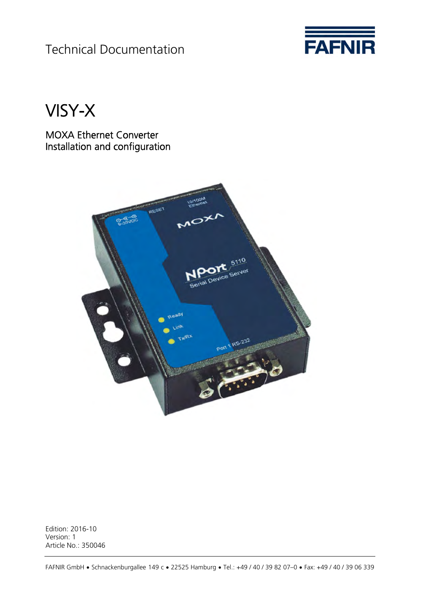## Technical Documentation



VISY-X

MOXA Ethernet Converter Installation and configuration



Edition: 2016-10 Version: 1 Article No.: 350046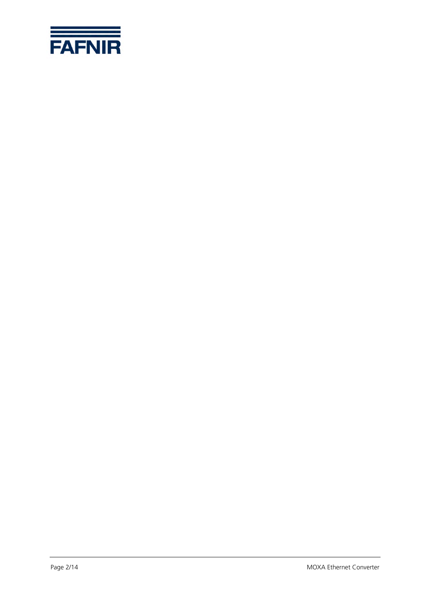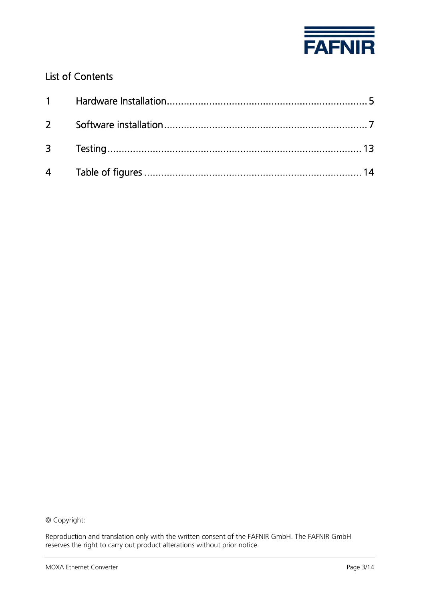

### List of Contents

© Copyright:

Reproduction and translation only with the written consent of the FAFNIR GmbH. The FAFNIR GmbH reserves the right to carry out product alterations without prior notice.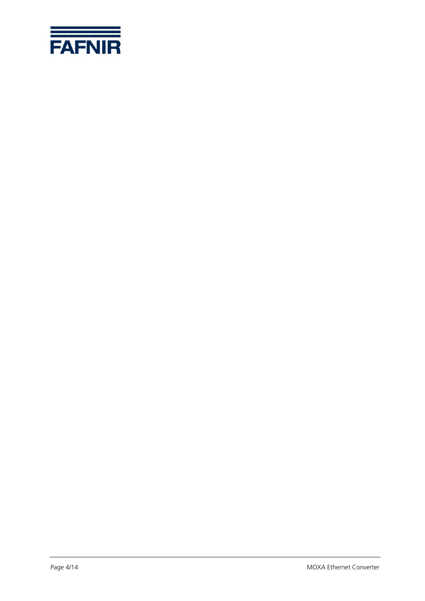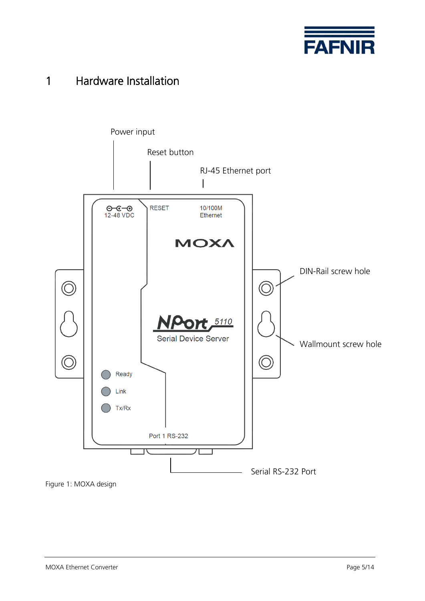

### 1 Hardware Installation

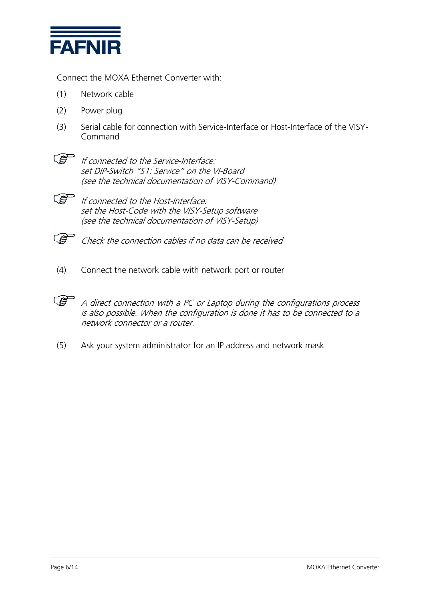

Connect the MOXA Ethernet Converter with:

- (1) Network cable
- (2) Power plug
- (3) Serial cable for connection with Service-Interface or Host-Interface of the VISY-Command



If connected to the Service-Interface: set DIP-Switch "S1: Service" on the VI-Board (see the technical documentation of VISY-Command)

 $\mathbb{Q}$ 

If connected to the Host-Interface: set the Host-Code with the VISY-Setup software (see the technical documentation of VISY-Setup)



Check the connection cables if no data can be received

(4) Connect the network cable with network port or router



A direct connection with a PC or Laptop during the configurations process is also possible. When the configuration is done it has to be connected to a network connector or a router.

(5) Ask your system administrator for an IP address and network mask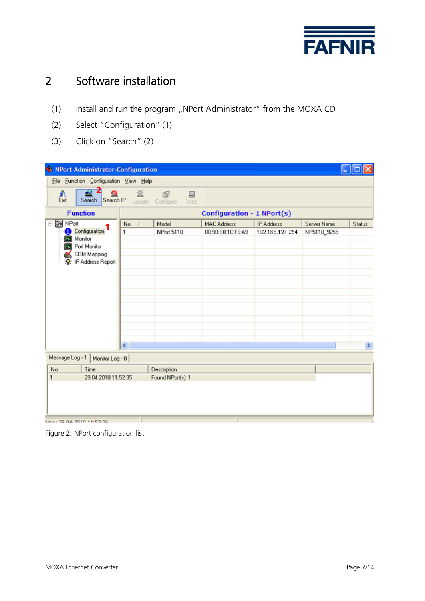

## 2 Software installation

- (1) Install and run the program "NPort Administrator" from the MOXA CD
- (2) Select "Configuration" (1)
- (3) Click on "Search" (2)

| NPort Administrator-Configuration                                              |                              |             |                    |                 |             |        |  |  |  |
|--------------------------------------------------------------------------------|------------------------------|-------------|--------------------|-----------------|-------------|--------|--|--|--|
| File Eunction Configuration View Help                                          |                              |             |                    |                 |             |        |  |  |  |
| 2<br>in.<br>Exit<br>崟<br>囹<br>旦<br>Search Search IP<br>Locate Configure<br>Web |                              |             |                    |                 |             |        |  |  |  |
| <b>Function</b><br><b>Configuration - 1 NPort(s)</b>                           |                              |             |                    |                 |             |        |  |  |  |
| <b>E</b> NPort<br>1                                                            | $\overline{L}$<br>No         | Model       | <b>MAC Address</b> | IP Address      | Server Name | Status |  |  |  |
| Configuration<br>Monitor<br>Port Monitor                                       | 1                            | NPort 5110  | 00:90:E8:1C:F6:A9  | 192.168.127.254 | NP5110_9255 |        |  |  |  |
| COM Mapping<br>W: IP Address Report                                            |                              |             |                    |                 |             |        |  |  |  |
|                                                                                |                              |             |                    |                 |             |        |  |  |  |
|                                                                                |                              |             |                    |                 |             |        |  |  |  |
|                                                                                |                              |             |                    |                 |             |        |  |  |  |
|                                                                                |                              |             |                    |                 |             |        |  |  |  |
|                                                                                | $\left\langle \right\rangle$ |             | IIII               |                 |             | $\,$   |  |  |  |
| Message Log - 1<br>Monitor Log - 0                                             |                              |             |                    |                 |             |        |  |  |  |
| Time<br>No                                                                     |                              | Description |                    |                 |             |        |  |  |  |
| 29.04.2010 11:52:35<br>Found NPort(s): 1<br>1                                  |                              |             |                    |                 |             |        |  |  |  |
|                                                                                |                              |             |                    |                 |             |        |  |  |  |
|                                                                                |                              |             |                    |                 |             |        |  |  |  |
|                                                                                |                              |             |                    |                 |             |        |  |  |  |
| Mauric DO OA DOAD ARTED-DE                                                     |                              |             |                    |                 |             |        |  |  |  |

Figure 2: NPort configuration list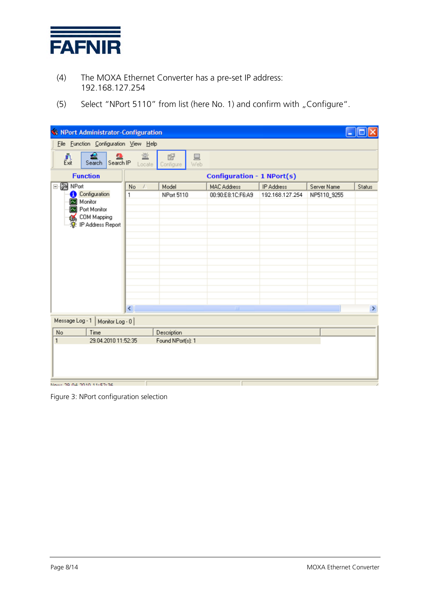

- (4) The MOXA Ethernet Converter has a pre-set IP address: 192.168.127.254
- (5) Select "NPort 5110" from list (here No. 1) and confirm with "Configure".

| File Eunction Configuration View Help<br>崟<br>矗<br>r<br>旦<br>Search IP<br>Search<br>Web<br>Locate<br>Configure<br><b>Function</b><br><b>Configuration - 1 NPort(s)</b><br>⊟ 2 <sup>3</sup> NPort<br>No<br>Model<br><b>MAC Address</b><br>IP Address<br>Server Name<br>$\sqrt{2}$<br>Status<br>Configuration<br>NPort 5110<br>00:90:E8:1C:F6:A9<br>192.168.127.254<br>NP5110_9255<br>1<br>Monitor<br>$\sim$<br>Port Monitor<br>$\overline{\phantom{a}}$<br>COM Mapping<br>Œ.<br>۰.<br>IP Address Report<br>$\left\langle \right\rangle$<br><b>TILL</b><br>≯ | NPort Administrator-Configuration  |  |  |  |  |  |  |  |  |
|------------------------------------------------------------------------------------------------------------------------------------------------------------------------------------------------------------------------------------------------------------------------------------------------------------------------------------------------------------------------------------------------------------------------------------------------------------------------------------------------------------------------------------------------------------|------------------------------------|--|--|--|--|--|--|--|--|
|                                                                                                                                                                                                                                                                                                                                                                                                                                                                                                                                                            |                                    |  |  |  |  |  |  |  |  |
|                                                                                                                                                                                                                                                                                                                                                                                                                                                                                                                                                            |                                    |  |  |  |  |  |  |  |  |
|                                                                                                                                                                                                                                                                                                                                                                                                                                                                                                                                                            |                                    |  |  |  |  |  |  |  |  |
|                                                                                                                                                                                                                                                                                                                                                                                                                                                                                                                                                            |                                    |  |  |  |  |  |  |  |  |
|                                                                                                                                                                                                                                                                                                                                                                                                                                                                                                                                                            |                                    |  |  |  |  |  |  |  |  |
|                                                                                                                                                                                                                                                                                                                                                                                                                                                                                                                                                            |                                    |  |  |  |  |  |  |  |  |
|                                                                                                                                                                                                                                                                                                                                                                                                                                                                                                                                                            | Message Log - 1<br>Monitor Log - 0 |  |  |  |  |  |  |  |  |
| No<br>Time<br>Description                                                                                                                                                                                                                                                                                                                                                                                                                                                                                                                                  |                                    |  |  |  |  |  |  |  |  |
| 29.04.2010 11:52:35<br>Found NPort(s): 1<br>1                                                                                                                                                                                                                                                                                                                                                                                                                                                                                                              |                                    |  |  |  |  |  |  |  |  |

Figure 3: NPort configuration selection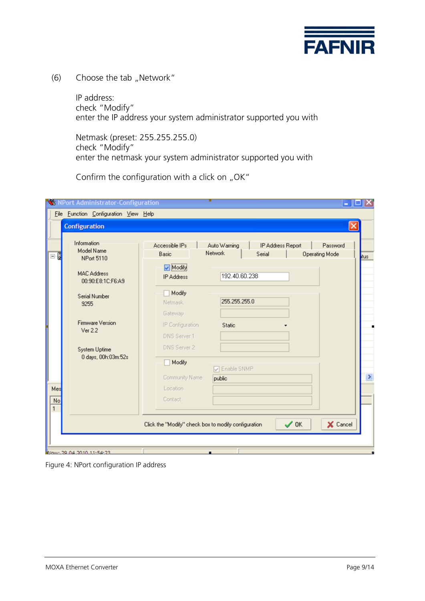

(6) Choose the tab "Network"

IP address: check "Modify" enter the IP address your system administrator supported you with

Netmask (preset: 255.255.255.0) check "Modify" enter the netmask your system administrator supported you with

Confirm the configuration with a click on "OK"

|                 | <b>W</b> : NPort Administrator-Configuration |                                                                                                                               |  |  |  |  |  |
|-----------------|----------------------------------------------|-------------------------------------------------------------------------------------------------------------------------------|--|--|--|--|--|
|                 | File Eunction Configuration View Help        |                                                                                                                               |  |  |  |  |  |
|                 | <b>Configuration</b>                         | ×                                                                                                                             |  |  |  |  |  |
| 日曜              | Information<br>Model Name<br>NPort 5110      | Accessible IPs<br>Auto Warning<br>IP Address Report<br>Password<br>Network<br>Basic<br><b>Operating Mode</b><br>Serial<br>tus |  |  |  |  |  |
|                 | <b>MAC Address</b><br>00:90:E8:1C:F6:A9      | Modify<br>192.40.60.238<br><b>IP Address</b>                                                                                  |  |  |  |  |  |
|                 | Serial Number<br>9255                        | Modify<br>255.255.255.0<br>Netmask                                                                                            |  |  |  |  |  |
|                 | <b>Firmware Version</b><br><b>Ver 2.2</b>    | Gateway<br>IP Configuration<br><b>Static</b><br>DNS Server 1                                                                  |  |  |  |  |  |
|                 | System Uptime<br>0 days, 00h:03m:52s         | DNS Server 2<br>Modify                                                                                                        |  |  |  |  |  |
|                 |                                              | <b>D</b> Enable SNMP                                                                                                          |  |  |  |  |  |
|                 |                                              | Community Name<br>≯<br>public                                                                                                 |  |  |  |  |  |
| Me <sub>s</sub> |                                              | Location<br>Contact                                                                                                           |  |  |  |  |  |
| No<br>1         |                                              |                                                                                                                               |  |  |  |  |  |
|                 |                                              |                                                                                                                               |  |  |  |  |  |
|                 |                                              | $\vee$ ok<br>X Cancel<br>Click the "Modify" check box to modify configuration                                                 |  |  |  |  |  |
|                 |                                              |                                                                                                                               |  |  |  |  |  |
|                 | Now: 29 04 2010 11:54:23                     |                                                                                                                               |  |  |  |  |  |

Figure 4: NPort configuration IP address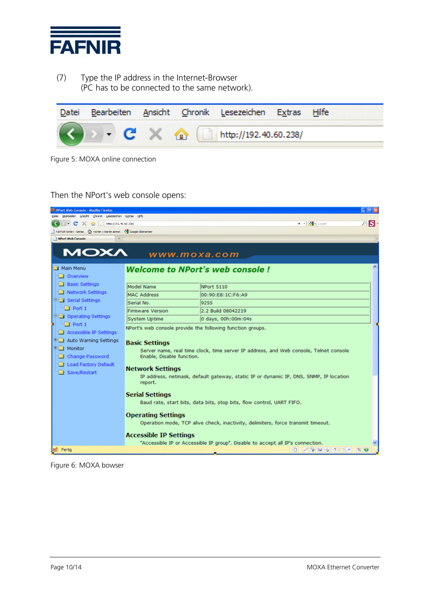

(7) Type the IP address in the Internet-Browser (PC has to be connected to the same network).



Figure 5: MOXA online connection

Then the NPort's web console opens:

| $\Box$ e $\mathbf{\mathbf{z}}$<br>NPort Web Console - Mozilla Firefox                                                            |                                                            |                                                                                       |      |  |  |  |  |  |  |
|----------------------------------------------------------------------------------------------------------------------------------|------------------------------------------------------------|---------------------------------------------------------------------------------------|------|--|--|--|--|--|--|
| Bearbeiten Ansicht Chronik Lesezeichen Extras                                                                                    | Hilfe                                                      |                                                                                       |      |  |  |  |  |  |  |
| $\bullet$ $\bullet$ $\bullet$ $\bullet$ $\bullet$ $\bullet$ $\bullet$ http://192.40.60.238/                                      |                                                            | $\frac{1}{2}$ + Google<br>→ -                                                         | P[S] |  |  |  |  |  |  |
| FAFNIR GmbH - Senso (1) Horde :: Horde Anmel & Google Übersetzer                                                                 |                                                            |                                                                                       |      |  |  |  |  |  |  |
| NPort Web Console<br>$\sigma_{\rm eff}^2$                                                                                        |                                                            |                                                                                       |      |  |  |  |  |  |  |
|                                                                                                                                  | MOXA<br>www.moxa.com                                       |                                                                                       |      |  |  |  |  |  |  |
| Main Menu<br>O Overview                                                                                                          | <b>Welcome to NPort's web console!</b>                     |                                                                                       |      |  |  |  |  |  |  |
| <b>Basic Settings</b>                                                                                                            | Model Name                                                 | NPort 5110                                                                            |      |  |  |  |  |  |  |
| <b>Network Settings</b>                                                                                                          | <b>MAC Address</b>                                         | 00:90:E8:1C:F6:A9                                                                     |      |  |  |  |  |  |  |
| <b>日色 Serial Settings</b>                                                                                                        | Serial No.                                                 | 9255                                                                                  |      |  |  |  |  |  |  |
| $\Box$ Port 1                                                                                                                    | <b>Firmware Version</b>                                    | 2.2 Build 08042219                                                                    |      |  |  |  |  |  |  |
| <b>D</b> Operating Settings                                                                                                      | System Uptime                                              | 0 days, 00h:00m:04s                                                                   |      |  |  |  |  |  |  |
| $\Box$ Port 1<br>Accessible IP Settings                                                                                          | NPort's web console provide the following function groups. |                                                                                       |      |  |  |  |  |  |  |
| Auto Warning Settings                                                                                                            | <b>Basic Settings</b>                                      |                                                                                       |      |  |  |  |  |  |  |
| <b>ED</b> Monitor                                                                                                                |                                                            | Server name, real time clock, time server IP address, and Web console, Telnet console |      |  |  |  |  |  |  |
| Change Password                                                                                                                  | Enable, Disable function.                                  |                                                                                       |      |  |  |  |  |  |  |
| <b>Load Factory Default</b>                                                                                                      |                                                            |                                                                                       |      |  |  |  |  |  |  |
| <b>Network Settings</b><br>Save/Restart<br>IP address, netmask, default gateway, static IP or dynamic IP, DNS, SNMP, IP location |                                                            |                                                                                       |      |  |  |  |  |  |  |
| report.                                                                                                                          |                                                            |                                                                                       |      |  |  |  |  |  |  |
| <b>Serial Settings</b>                                                                                                           |                                                            |                                                                                       |      |  |  |  |  |  |  |
| Baud rate, start bits, data bits, stop bits, flow control, UART FIFO.                                                            |                                                            |                                                                                       |      |  |  |  |  |  |  |
| <b>Operating Settings</b>                                                                                                        |                                                            |                                                                                       |      |  |  |  |  |  |  |
| Operation mode, TCP alive check, inactivity, delimiters, force transmit timeout.                                                 |                                                            |                                                                                       |      |  |  |  |  |  |  |
| <b>Accessible IP Settings</b>                                                                                                    |                                                            |                                                                                       |      |  |  |  |  |  |  |
| "Accessible IP or Accessible IP group". Disable to accept all IP's connection.                                                   |                                                            |                                                                                       |      |  |  |  |  |  |  |
| D /9 8 5 0 5 1 8 6<br>Fertig                                                                                                     |                                                            |                                                                                       |      |  |  |  |  |  |  |

Figure 6: MOXA bowser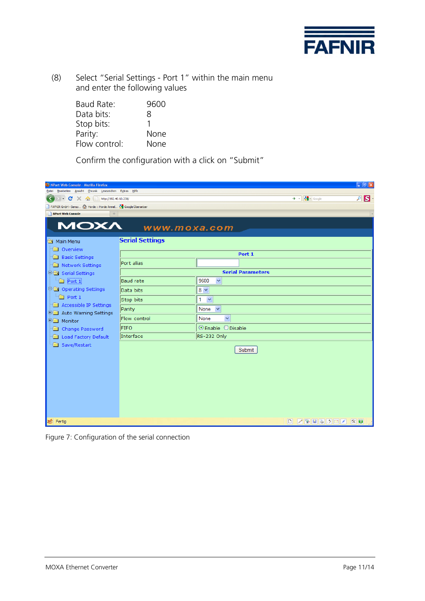

(8) Select "Serial Settings - Port 1" within the main menu and enter the following values

| Baud Rate:    | 9600 |
|---------------|------|
| Data bits:    | 8    |
| Stop bits:    | 1    |
| Parity:       | None |
| Flow control: | None |

Confirm the configuration with a click on "Submit"



Figure 7: Configuration of the serial connection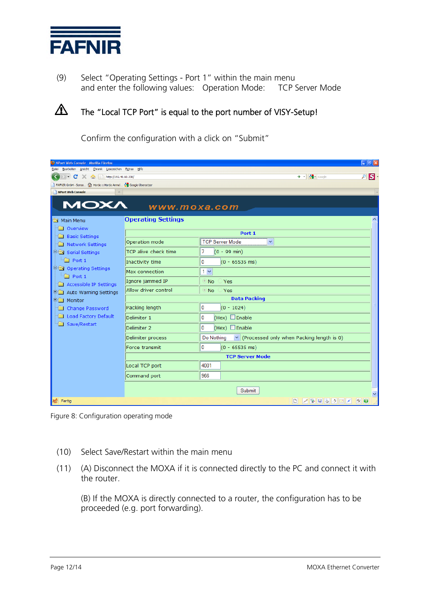

(9) Select "Operating Settings - Port 1" within the main menu and enter the following values: Operation Mode: TCP Server Mode

#### Л The "Local TCP Port" is equal to the port number of VISY-Setup!

Confirm the configuration with a click on "Submit"

| NPort Web Console - Mozilla Firefox                                                                          |                                                                                                                                            | $\Box$ $\Box$ $\times$                                         |  |  |  |  |  |
|--------------------------------------------------------------------------------------------------------------|--------------------------------------------------------------------------------------------------------------------------------------------|----------------------------------------------------------------|--|--|--|--|--|
| $\triangleright$ $\bullet$ $\bullet$ $\bullet$ $\bullet$ $\bullet$ $\bullet$ $\bullet$ http://192.40.60.238/ | Bearbeiten Ansicht Chronik Lesezeichen Extras Hilfe<br>Datei<br>$\mathbf{S}$<br>$\mathcal{P}$<br>$\frac{1}{2}$ T Google<br>$\rightarrow$ + |                                                                |  |  |  |  |  |
| FAFNIR GmbH - Senso (1) Horde :: Horde Anmel & Google Übersetzer                                             |                                                                                                                                            |                                                                |  |  |  |  |  |
| NPort Web Console<br>÷                                                                                       |                                                                                                                                            |                                                                |  |  |  |  |  |
| <b>MOXA</b><br>www.moxa.com                                                                                  |                                                                                                                                            |                                                                |  |  |  |  |  |
| Main Menu                                                                                                    | <b>Operating Settings</b>                                                                                                                  | ㅅ                                                              |  |  |  |  |  |
| <b>Construction</b> Overview                                                                                 |                                                                                                                                            | Port 1                                                         |  |  |  |  |  |
| <b>Basic Settings</b><br><b>Network Settings</b>                                                             | Operation mode                                                                                                                             | <b>TCP Server Mode</b><br>v                                    |  |  |  |  |  |
| <b>D</b> Serial Settings                                                                                     | TCP alive check time                                                                                                                       | 7<br>$(0 - 99$ min)                                            |  |  |  |  |  |
| <b>B</b> Port 1                                                                                              | Inactivity time                                                                                                                            | 0<br>$(0 - 65535 \text{ ms})$                                  |  |  |  |  |  |
| Operating Settings<br>$\blacksquare$ Port 1                                                                  | 1 <sub>v</sub><br>Max connection                                                                                                           |                                                                |  |  |  |  |  |
| Accessible IP Settings                                                                                       | Ignore jammed IP<br><b>No</b><br>Yes                                                                                                       |                                                                |  |  |  |  |  |
| <b>E a</b> Auto Warning Settings                                                                             | Allow driver control                                                                                                                       | $\left( \circ \right)$<br><b>No</b><br>Yes                     |  |  |  |  |  |
| <b>Data Packing</b><br><b>甲圖 Monitor</b>                                                                     |                                                                                                                                            |                                                                |  |  |  |  |  |
| Change Password                                                                                              | Packing length                                                                                                                             | 0<br>$(0 - 1024)$                                              |  |  |  |  |  |
| Load Factory Default                                                                                         | Delimiter 1                                                                                                                                | $(Hex)$ Enable<br>0                                            |  |  |  |  |  |
| Save/Restart                                                                                                 | Delimiter <sub>2</sub>                                                                                                                     | (Hex) □ Enable<br>0                                            |  |  |  |  |  |
|                                                                                                              | Delimiter process                                                                                                                          | $\vee$ (Processed only when Packing length is 0)<br>Do Nothing |  |  |  |  |  |
|                                                                                                              | Force transmit                                                                                                                             | O<br>$(0 - 65535 \text{ ms})$                                  |  |  |  |  |  |
| <b>TCP Server Mode</b>                                                                                       |                                                                                                                                            |                                                                |  |  |  |  |  |
|                                                                                                              | Local TCP port                                                                                                                             | 4001                                                           |  |  |  |  |  |
|                                                                                                              | Command port                                                                                                                               | 966                                                            |  |  |  |  |  |
| Fertig                                                                                                       |                                                                                                                                            | Submit<br><b>D Z Y H &amp; J H X</b><br>$*o$                   |  |  |  |  |  |

Figure 8: Configuration operating mode

- (10) Select Save/Restart within the main menu
- (11) (A) Disconnect the MOXA if it is connected directly to the PC and connect it with the router.

(B) If the MOXA is directly connected to a router, the configuration has to be proceeded (e.g. port forwarding).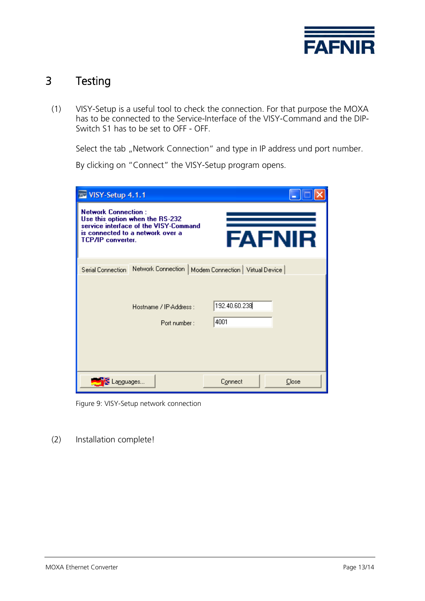

### 3 Testing

(1) VISY-Setup is a useful tool to check the connection. For that purpose the MOXA has to be connected to the Service-Interface of the VISY-Command and the DIP-Switch S1 has to be set to OFF - OFF.

Select the tab "Network Connection" and type in IP address und port number.

Connect

 $Close$ 

| WISY-Setup 4.1.1                                |                                                                                                              |                                   |               |  |
|-------------------------------------------------|--------------------------------------------------------------------------------------------------------------|-----------------------------------|---------------|--|
| <b>Network Connection:</b><br>TCP/IP converter. | Use this option when the RS-232<br>service interface of the VISY-Command<br>is connected to a network over a |                                   | <b>FAFNIR</b> |  |
| Serial Connection                               | Network Connection                                                                                           | Modem Connection   Virtual Device |               |  |
|                                                 | Hostname / IP-Address :                                                                                      | 192.40.60.238                     |               |  |
|                                                 | Port number:                                                                                                 | 4001                              |               |  |

By clicking on "Connect" the VISY-Setup program opens.

Figure 9: VISY-Setup network connection

■ Languages...

### (2) Installation complete!